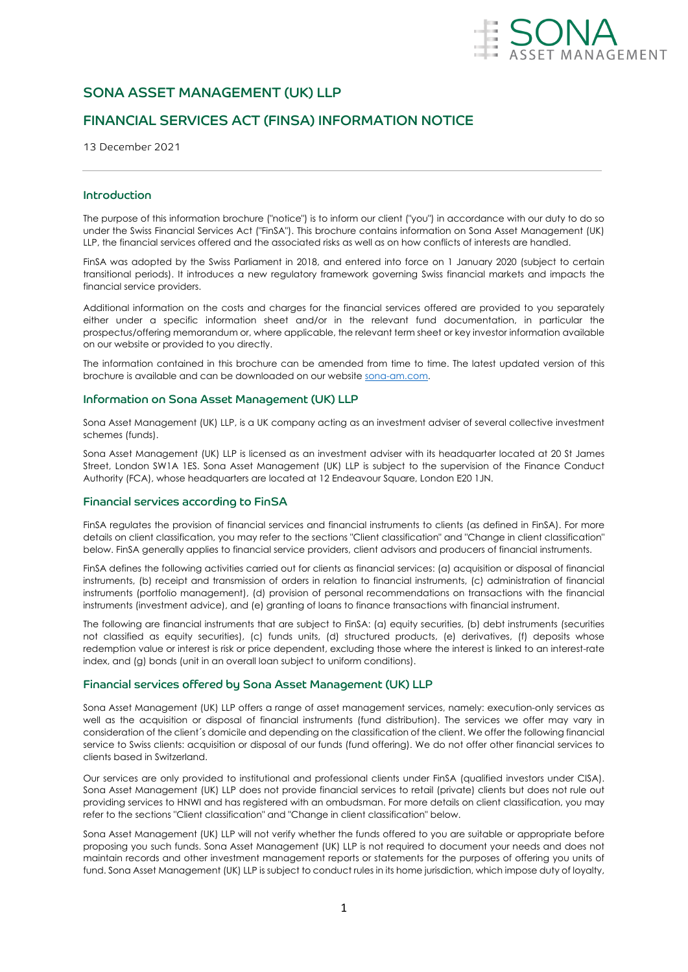

# SONA ASSET MANAGEMENT (UK) LLP

# FINANCIAL SERVICES ACT (FINSA) INFORMATION NOTICE

13 December 2021

# Introduction

The purpose of this information brochure ("notice") is to inform our client ("you") in accordance with our duty to do so under the Swiss Financial Services Act ("FinSA"). This brochure contains information on Sona Asset Management (UK) LLP, the financial services offered and the associated risks as well as on how conflicts of interests are handled.

FinSA was adopted by the Swiss Parliament in 2018, and entered into force on 1 January 2020 (subject to certain transitional periods). It introduces a new regulatory framework governing Swiss financial markets and impacts the financial service providers.

Additional information on the costs and charges for the financial services offered are provided to you separately either under a specific information sheet and/or in the relevant fund documentation, in particular the prospectus/offering memorandum or, where applicable, the relevant term sheet or key investor information available on our website or provided to you directly.

The information contained in this brochure can be amended from time to time. The latest updated version of this brochure is available and can be downloaded on our website sona-am.com.

## Information on Sona Asset Management (UK) LLP

Sona Asset Management (UK) LLP, is a UK company acting as an investment adviser of several collective investment schemes (funds).

Sona Asset Management (UK) LLP is licensed as an investment adviser with its headquarter located at 20 St James Street, London SW1A 1ES. Sona Asset Management (UK) LLP is subject to the supervision of the Finance Conduct Authority (FCA), whose headquarters are located at 12 Endeavour Square, London E20 1JN.

## Financial services according to FinSA

FinSA regulates the provision of financial services and financial instruments to clients (as defined in FinSA). For more details on client classification, you may refer to the sections "Client classification" and "Change in client classification" below. FinSA generally applies to financial service providers, client advisors and producers of financial instruments.

FinSA defines the following activities carried out for clients as financial services: (a) acquisition or disposal of financial instruments, (b) receipt and transmission of orders in relation to financial instruments, (c) administration of financial instruments (portfolio management), (d) provision of personal recommendations on transactions with the financial instruments (investment advice), and (e) granting of loans to finance transactions with financial instrument.

The following are financial instruments that are subject to FinSA: (a) equity securities, (b) debt instruments (securities not classified as equity securities), (c) funds units, (d) structured products, (e) derivatives, (f) deposits whose redemption value or interest is risk or price dependent, excluding those where the interest is linked to an interest-rate index, and (g) bonds (unit in an overall loan subject to uniform conditions).

## Financial services offered by Sona Asset Management (UK) LLP

Sona Asset Management (UK) LLP offers a range of asset management services, namely: execution-only services as well as the acquisition or disposal of financial instruments (fund distribution). The services we offer may vary in consideration of the client´s domicile and depending on the classification of the client. We offer the following financial service to Swiss clients: acquisition or disposal of our funds (fund offering). We do not offer other financial services to clients based in Switzerland.

Our services are only provided to institutional and professional clients under FinSA (qualified investors under CISA). Sona Asset Management (UK) LLP does not provide financial services to retail (private) clients but does not rule out providing services to HNWI and has registered with an ombudsman. For more details on client classification, you may refer to the sections "Client classification" and "Change in client classification" below.

Sona Asset Management (UK) LLP will not verify whether the funds offered to you are suitable or appropriate before proposing you such funds. Sona Asset Management (UK) LLP is not required to document your needs and does not maintain records and other investment management reports or statements for the purposes of offering you units of fund. Sona Asset Management (UK) LLP is subject to conduct rules in its home jurisdiction, which impose duty of loyalty,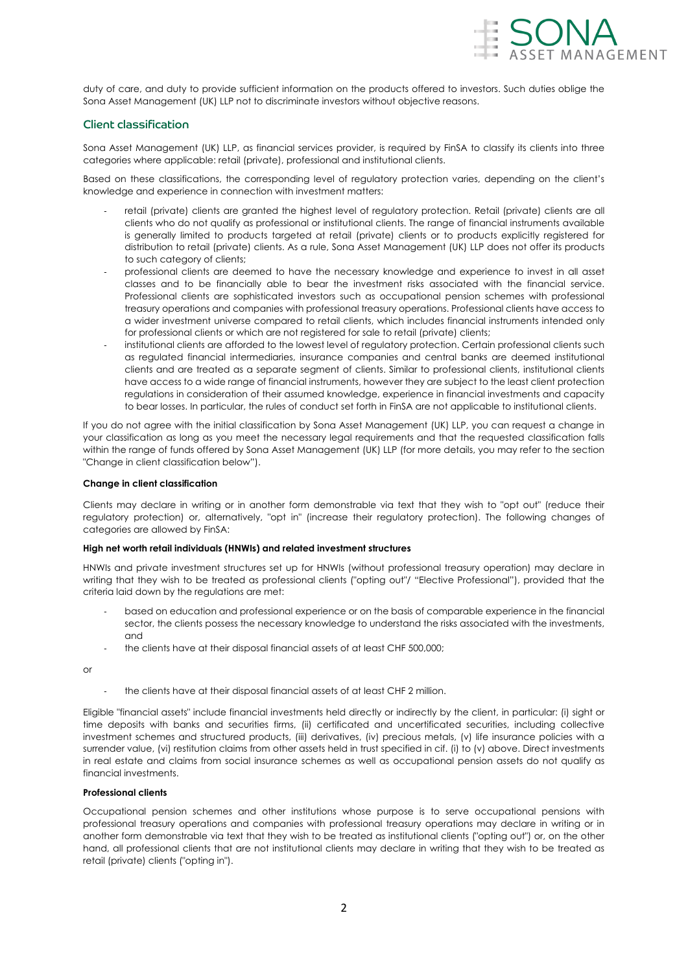

duty of care, and duty to provide sufficient information on the products offered to investors. Such duties oblige the Sona Asset Management (UK) LLP not to discriminate investors without objective reasons.

# Client classification

Sona Asset Management (UK) LLP, as financial services provider, is required by FinSA to classify its clients into three categories where applicable: retail (private), professional and institutional clients.

Based on these classifications, the corresponding level of regulatory protection varies, depending on the client's knowledge and experience in connection with investment matters:

- retail (private) clients are granted the highest level of regulatory protection. Retail (private) clients are all clients who do not qualify as professional or institutional clients. The range of financial instruments available is generally limited to products targeted at retail (private) clients or to products explicitly registered for distribution to retail (private) clients. As a rule, Sona Asset Management (UK) LLP does not offer its products to such category of clients;
- professional clients are deemed to have the necessary knowledge and experience to invest in all asset classes and to be financially able to bear the investment risks associated with the financial service. Professional clients are sophisticated investors such as occupational pension schemes with professional treasury operations and companies with professional treasury operations. Professional clients have access to a wider investment universe compared to retail clients, which includes financial instruments intended only for professional clients or which are not registered for sale to retail (private) clients;
- institutional clients are afforded to the lowest level of regulatory protection. Certain professional clients such as regulated financial intermediaries, insurance companies and central banks are deemed institutional clients and are treated as a separate segment of clients. Similar to professional clients, institutional clients have access to a wide range of financial instruments, however they are subject to the least client protection regulations in consideration of their assumed knowledge, experience in financial investments and capacity to bear losses. In particular, the rules of conduct set forth in FinSA are not applicable to institutional clients.

If you do not agree with the initial classification by Sona Asset Management (UK) LLP, you can request a change in your classification as long as you meet the necessary legal requirements and that the requested classification falls within the range of funds offered by Sona Asset Management (UK) LLP (for more details, you may refer to the section "Change in client classification below").

### **Change in client classification**

Clients may declare in writing or in another form demonstrable via text that they wish to "opt out" (reduce their regulatory protection) or, alternatively, "opt in" (increase their regulatory protection). The following changes of categories are allowed by FinSA:

## **High net worth retail individuals (HNWIs) and related investment structures**

HNWIs and private investment structures set up for HNWIs (without professional treasury operation) may declare in writing that they wish to be treated as professional clients ("opting out"/ "Elective Professional"), provided that the criteria laid down by the regulations are met:

- based on education and professional experience or on the basis of comparable experience in the financial sector, the clients possess the necessary knowledge to understand the risks associated with the investments, and
- the clients have at their disposal financial assets of at least CHF 500,000;

or

the clients have at their disposal financial assets of at least CHF 2 million.

Eligible "financial assets" include financial investments held directly or indirectly by the client, in particular: (i) sight or time deposits with banks and securities firms, (ii) certificated and uncertificated securities, including collective investment schemes and structured products, (iii) derivatives, (iv) precious metals, (v) life insurance policies with a surrender value, (vi) restitution claims from other assets held in trust specified in cif. (i) to (v) above. Direct investments in real estate and claims from social insurance schemes as well as occupational pension assets do not qualify as financial investments.

## **Professional clients**

Occupational pension schemes and other institutions whose purpose is to serve occupational pensions with professional treasury operations and companies with professional treasury operations may declare in writing or in another form demonstrable via text that they wish to be treated as institutional clients ("opting out") or, on the other hand, all professional clients that are not institutional clients may declare in writing that they wish to be treated as retail (private) clients ("opting in").